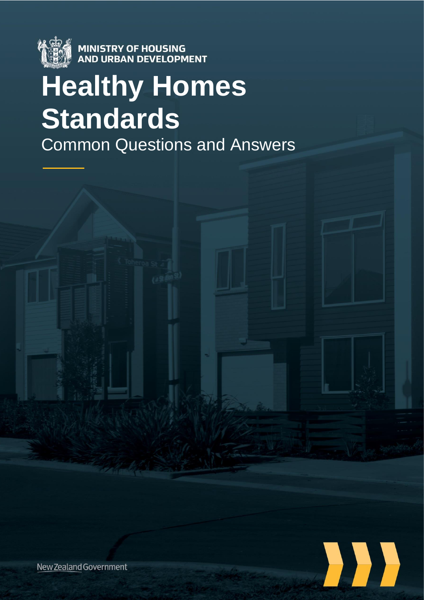

**MINISTRY OF HOUSING<br>AND URBAN DEVELOPMENT** 

# **Healthy Homes Standards** Common Questions and Answers



New Zealand Government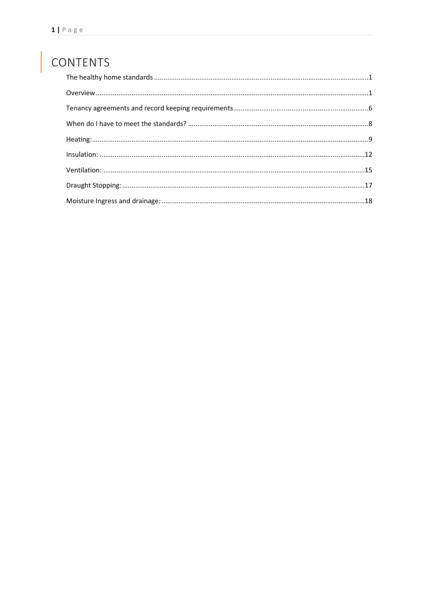# CONTENTS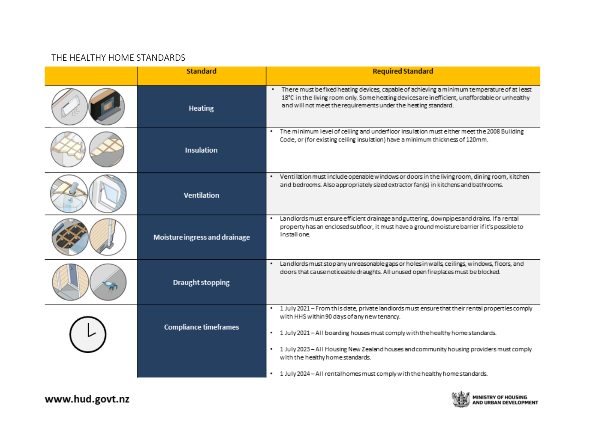# THE HEALTHY HOME STANDARDS

<span id="page-2-0"></span>

| <b>Standard</b>               | <b>Required Standard</b>                                                                                                                                                                                                                                       |
|-------------------------------|----------------------------------------------------------------------------------------------------------------------------------------------------------------------------------------------------------------------------------------------------------------|
| <b>Heating</b>                | There must be fixed heating devices, capable of achieving a minimum temperature of at least<br>18°C in the living room only. Some heating devices are inefficient, unaffordable or unhealthy<br>and will not meet the requirements under the heating standard. |
| Insulation                    | The minimum level of ceiling and underfloor insulation must either meet the 2008 Building<br>٠<br>Code, or (for existing ceiling insulation) have a minimum thickness of 120mm.                                                                                |
| Ventilation                   | . Ventilation must include openable windows or doors in the living room, dining room, kitchen<br>and bedrooms. Also appropriately sized extractor fan(s) in kitchens and bathrooms.                                                                            |
| Moisture ingress and drainage | Landlords must ensure efficient drainage and guttering, downpipes and drains. If a rental<br>٠<br>property has an enclosed subfloor, it must have a ground moisture barrier if it's possible to<br>install one.                                                |
| <b>Draught stopping</b>       | Landlords must stop any unreasonable gaps or holes in walls, ceilings, windows, floors, and<br>٠<br>doors that cause noticeable draughts. All unused open fireplaces must be blocked.                                                                          |
|                               | 1 July 2021 - From this date, private landlords must ensure that their rental properties comply<br>٠<br>with HHS within 90 days of any new tenancy.                                                                                                            |
| <b>Compliance timeframes</b>  | 1 July 2021 - All boarding houses must comply with the healthy home standards.<br>٠                                                                                                                                                                            |
|                               | 1 July 2023 - All Housing New Zealand houses and community housing providers must comply<br>٠<br>with the healthy home standards.                                                                                                                              |
|                               | 1 July 2024 - All rentalhomes must comply with the healthy home standards.                                                                                                                                                                                     |

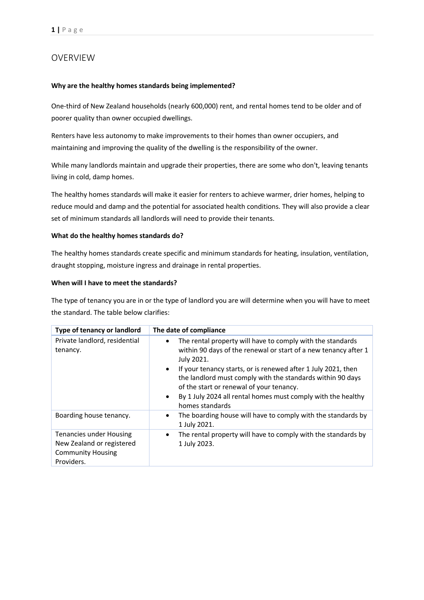# <span id="page-3-0"></span>OVERVIEW

#### **Why are the healthy homes standards being implemented?**

One-third of New Zealand households (nearly 600,000) rent, and rental homes tend to be older and of poorer quality than owner occupied dwellings.

Renters have less autonomy to make improvements to their homes than owner occupiers, and maintaining and improving the quality of the dwelling is the responsibility of the owner.

While many landlords maintain and upgrade their properties, there are some who don't, leaving tenants living in cold, damp homes.

The healthy homes standards will make it easier for renters to achieve warmer, drier homes, helping to reduce mould and damp and the potential for associated health conditions. They will also provide a clear set of minimum standards all landlords will need to provide their tenants.

#### **What do the healthy homes standards do?**

The healthy homes standards create specific and minimum standards for heating, insulation, ventilation, draught stopping, moisture ingress and drainage in rental properties.

#### **When will I have to meet the standards?**

The type of tenancy you are in or the type of landlord you are will determine when you will have to meet the standard. The table below clarifies:

| Type of tenancy or landlord                                                                    | The date of compliance                                                                                                                                                                                                                                                  |
|------------------------------------------------------------------------------------------------|-------------------------------------------------------------------------------------------------------------------------------------------------------------------------------------------------------------------------------------------------------------------------|
| Private landlord, residential<br>tenancy.                                                      | The rental property will have to comply with the standards<br>٠<br>within 90 days of the renewal or start of a new tenancy after 1<br>July 2021.                                                                                                                        |
|                                                                                                | If your tenancy starts, or is renewed after 1 July 2021, then<br>$\bullet$<br>the landlord must comply with the standards within 90 days<br>of the start or renewal of your tenancy.<br>By 1 July 2024 all rental homes must comply with the healthy<br>homes standards |
| Boarding house tenancy.                                                                        | The boarding house will have to comply with the standards by<br>$\bullet$<br>1 July 2021.                                                                                                                                                                               |
| Tenancies under Housing<br>New Zealand or registered<br><b>Community Housing</b><br>Providers. | The rental property will have to comply with the standards by<br>$\bullet$<br>1 July 2023.                                                                                                                                                                              |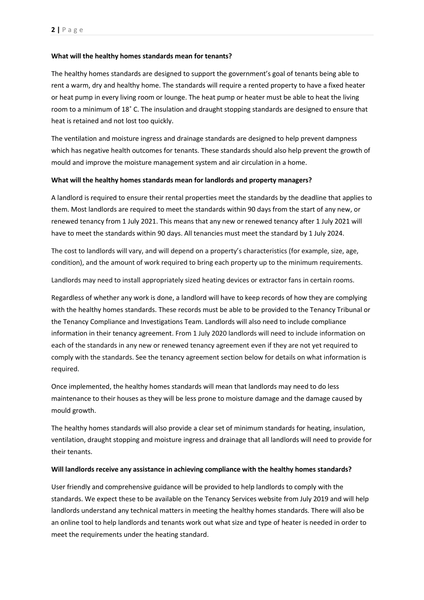#### **What will the healthy homes standards mean for tenants?**

The healthy homes standards are designed to support the government's goal of tenants being able to rent a warm, dry and healthy home. The standards will require a rented property to have a fixed heater or heat pump in every living room or lounge. The heat pump or heater must be able to heat the living room to a minimum of 18˚ C. The insulation and draught stopping standards are designed to ensure that heat is retained and not lost too quickly.

The ventilation and moisture ingress and drainage standards are designed to help prevent dampness which has negative health outcomes for tenants. These standards should also help prevent the growth of mould and improve the moisture management system and air circulation in a home.

#### **What will the healthy homes standards mean for landlords and property managers?**

A landlord is required to ensure their rental properties meet the standards by the deadline that applies to them. Most landlords are required to meet the standards within 90 days from the start of any new, or renewed tenancy from 1 July 2021. This means that any new or renewed tenancy after 1 July 2021 will have to meet the standards within 90 days. All tenancies must meet the standard by 1 July 2024.

The cost to landlords will vary, and will depend on a property's characteristics (for example, size, age, condition), and the amount of work required to bring each property up to the minimum requirements.

Landlords may need to install appropriately sized heating devices or extractor fans in certain rooms.

Regardless of whether any work is done, a landlord will have to keep records of how they are complying with the healthy homes standards. These records must be able to be provided to the Tenancy Tribunal or the Tenancy Compliance and Investigations Team. Landlords will also need to include compliance information in their tenancy agreement. From 1 July 2020 landlords will need to include information on each of the standards in any new or renewed tenancy agreement even if they are not yet required to comply with the standards. See the tenancy agreement section below for details on what information is required.

Once implemented, the healthy homes standards will mean that landlords may need to do less maintenance to their houses as they will be less prone to moisture damage and the damage caused by mould growth.

The healthy homes standards will also provide a clear set of minimum standards for heating, insulation, ventilation, draught stopping and moisture ingress and drainage that all landlords will need to provide for their tenants.

#### **Will landlords receive any assistance in achieving compliance with the healthy homes standards?**

User friendly and comprehensive guidance will be provided to help landlords to comply with the standards. We expect these to be available on the Tenancy Services website from July 2019 and will help landlords understand any technical matters in meeting the healthy homes standards. There will also be an online tool to help landlords and tenants work out what size and type of heater is needed in order to meet the requirements under the heating standard.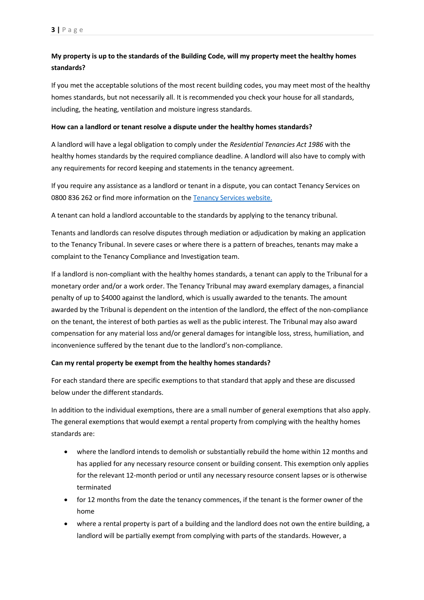# **My property is up to the standards of the Building Code, will my property meet the healthy homes standards?**

If you met the acceptable solutions of the most recent building codes, you may meet most of the healthy homes standards, but not necessarily all. It is recommended you check your house for all standards, including, the heating, ventilation and moisture ingress standards.

#### **How can a landlord or tenant resolve a dispute under the healthy homes standards?**

A landlord will have a legal obligation to comply under the *Residential Tenancies Act 1986* with the healthy homes standards by the required compliance deadline. A landlord will also have to comply with any requirements for record keeping and statements in the tenancy agreement.

If you require any assistance as a landlord or tenant in a dispute, you can contact Tenancy Services on 0800 836 262 or find more information on the [Tenancy Services website.](https://www.tenancy.govt.nz/)

A tenant can hold a landlord accountable to the standards by applying to the tenancy tribunal.

Tenants and landlords can resolve disputes through mediation or adjudication by making an application to the Tenancy Tribunal. In severe cases or where there is a pattern of breaches, tenants may make a complaint to the Tenancy Compliance and Investigation team.

If a landlord is non-compliant with the healthy homes standards, a tenant can apply to the Tribunal for a monetary order and/or a work order. The Tenancy Tribunal may award exemplary damages, a financial penalty of up to \$4000 against the landlord, which is usually awarded to the tenants. The amount awarded by the Tribunal is dependent on the intention of the landlord, the effect of the non-compliance on the tenant, the interest of both parties as well as the public interest. The Tribunal may also award compensation for any material loss and/or general damages for intangible loss, stress, humiliation, and inconvenience suffered by the tenant due to the landlord's non-compliance.

#### **Can my rental property be exempt from the healthy homes standards?**

For each standard there are specific exemptions to that standard that apply and these are discussed below under the different standards.

In addition to the individual exemptions, there are a small number of general exemptions that also apply. The general exemptions that would exempt a rental property from complying with the healthy homes standards are:

- where the landlord intends to demolish or substantially rebuild the home within 12 months and has applied for any necessary resource consent or building consent. This exemption only applies for the relevant 12-month period or until any necessary resource consent lapses or is otherwise terminated
- for 12 months from the date the tenancy commences, if the tenant is the former owner of the home
- where a rental property is part of a building and the landlord does not own the entire building, a landlord will be partially exempt from complying with parts of the standards. However, a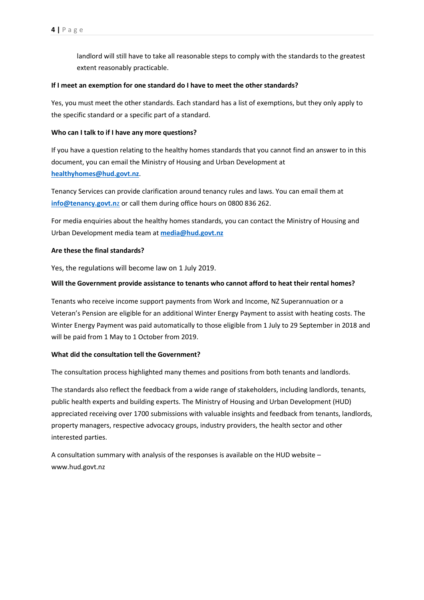landlord will still have to take all reasonable steps to comply with the standards to the greatest extent reasonably practicable.

#### **If I meet an exemption for one standard do I have to meet the other standards?**

Yes, you must meet the other standards. Each standard has a list of exemptions, but they only apply to the specific standard or a specific part of a standard.

#### **Who can I talk to if I have any more questions?**

If you have a question relating to the healthy homes standards that you cannot find an answer to in this document, you can email the Ministry of Housing and Urban Development at **[healthyhomes@hud.govt.nz](file:///C:/Users/WilsonC6/AppData/Local/OpenText/OTEdit/EC_MAKO/c75700340/healthyhomes@hud.govt.nz)**.

Tenancy Services can provide clarification around tenancy rules and laws. You can email them at **[info@tenancy.govt.n](file:///C:/Users/WilsonC6/AppData/Local/OpenText/OTEdit/EC_MAKO/c75700340/info@tenancy.govt.nz)**z or call them during office hours on 0800 836 262.

For media enquiries about the healthy homes standards, you can contact the Ministry of Housing and Urban Development media team at **media@hud.govt.nz**

#### **Are these the final standards?**

Yes, the regulations will become law on 1 July 2019.

#### **Will the Government provide assistance to tenants who cannot afford to heat their rental homes?**

Tenants who receive income support payments from Work and Income, NZ Superannuation or a Veteran's Pension are eligible for an additional Winter Energy Payment to assist with heating costs. The Winter Energy Payment was paid automatically to those eligible from 1 July to 29 September in 2018 and will be paid from 1 May to 1 October from 2019.

#### **What did the consultation tell the Government?**

The consultation process highlighted many themes and positions from both tenants and landlords.

The standards also reflect the feedback from a wide range of stakeholders, including landlords, tenants, public health experts and building experts. The Ministry of Housing and Urban Development (HUD) appreciated receiving over 1700 submissions with valuable insights and feedback from tenants, landlords, property managers, respective advocacy groups, industry providers, the health sector and other interested parties.

A consultation summary with analysis of the responses is available on the HUD website – [www.hud.govt.nz](http://www.hud.govt.nz/)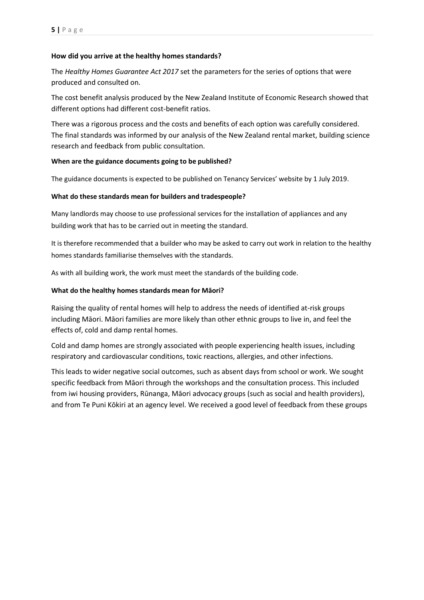#### **How did you arrive at the healthy homes standards?**

The *Healthy Homes Guarantee Act 2017* set the parameters for the series of options that were produced and consulted on.

The cost benefit analysis produced by the New Zealand Institute of Economic Research showed that different options had different cost-benefit ratios.

There was a rigorous process and the costs and benefits of each option was carefully considered. The final standards was informed by our analysis of the New Zealand rental market, building science research and feedback from public consultation.

#### **When are the guidance documents going to be published?**

The guidance documents is expected to be published on Tenancy Services' website by 1 July 2019.

#### **What do these standards mean for builders and tradespeople?**

Many landlords may choose to use professional services for the installation of appliances and any building work that has to be carried out in meeting the standard.

It is therefore recommended that a builder who may be asked to carry out work in relation to the healthy homes standards familiarise themselves with the standards.

As with all building work, the work must meet the standards of the building code.

#### **What do the healthy homes standards mean for Māori?**

Raising the quality of rental homes will help to address the needs of identified at-risk groups including Māori. Māori families are more likely than other ethnic groups to live in, and feel the effects of, cold and damp rental homes.

Cold and damp homes are strongly associated with people experiencing health issues, including respiratory and cardiovascular conditions, toxic reactions, allergies, and other infections.

This leads to wider negative social outcomes, such as absent days from school or work. We sought specific feedback from Māori through the workshops and the consultation process. This included from iwi housing providers, Rūnanga, Māori advocacy groups (such as social and health providers), and from Te Puni Kōkiri at an agency level. We received a good level of feedback from these groups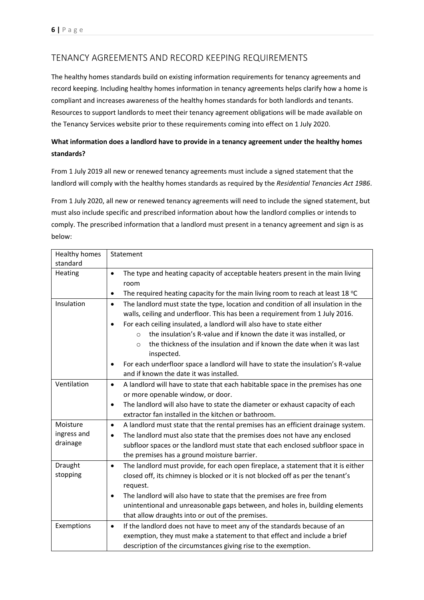# <span id="page-8-0"></span>TENANCY AGREEMENTS AND RECORD KEEPING REQUIREMENTS

The healthy homes standards build on existing information requirements for tenancy agreements and record keeping. Including healthy homes information in tenancy agreements helps clarify how a home is compliant and increases awareness of the healthy homes standards for both landlords and tenants. Resources to support landlords to meet their tenancy agreement obligations will be made available on the Tenancy Services website prior to these requirements coming into effect on 1 July 2020.

# **What information does a landlord have to provide in a tenancy agreement under the healthy homes standards?**

From 1 July 2019 all new or renewed tenancy agreements must include a signed statement that the landlord will comply with the healthy homes standards as required by the *Residential Tenancies Act 1986*.

From 1 July 2020, all new or renewed tenancy agreements will need to include the signed statement, but must also include specific and prescribed information about how the landlord complies or intends to comply. The prescribed information that a landlord must present in a tenancy agreement and sign is as below:

| Healthy homes                       | Statement                                                                                                                                                                                                                                                                                                                                                                                                                                                   |
|-------------------------------------|-------------------------------------------------------------------------------------------------------------------------------------------------------------------------------------------------------------------------------------------------------------------------------------------------------------------------------------------------------------------------------------------------------------------------------------------------------------|
| standard                            |                                                                                                                                                                                                                                                                                                                                                                                                                                                             |
| Heating                             | The type and heating capacity of acceptable heaters present in the main living<br>٠<br>room                                                                                                                                                                                                                                                                                                                                                                 |
|                                     | The required heating capacity for the main living room to reach at least 18 °C<br>$\bullet$                                                                                                                                                                                                                                                                                                                                                                 |
| Insulation                          | The landlord must state the type, location and condition of all insulation in the<br>$\bullet$<br>walls, ceiling and underfloor. This has been a requirement from 1 July 2016.<br>For each ceiling insulated, a landlord will also have to state either<br>$\bullet$<br>the insulation's R-value and if known the date it was installed, or<br>$\Omega$<br>the thickness of the insulation and if known the date when it was last<br>$\Omega$<br>inspected. |
|                                     | For each underfloor space a landlord will have to state the insulation's R-value<br>٠<br>and if known the date it was installed.                                                                                                                                                                                                                                                                                                                            |
| Ventilation                         | A landlord will have to state that each habitable space in the premises has one<br>$\bullet$<br>or more openable window, or door.<br>The landlord will also have to state the diameter or exhaust capacity of each<br>$\bullet$<br>extractor fan installed in the kitchen or bathroom.                                                                                                                                                                      |
| Moisture<br>ingress and<br>drainage | A landlord must state that the rental premises has an efficient drainage system.<br>$\bullet$<br>The landlord must also state that the premises does not have any enclosed<br>$\bullet$<br>subfloor spaces or the landlord must state that each enclosed subfloor space in<br>the premises has a ground moisture barrier.                                                                                                                                   |
| Draught<br>stopping                 | The landlord must provide, for each open fireplace, a statement that it is either<br>$\bullet$<br>closed off, its chimney is blocked or it is not blocked off as per the tenant's<br>request.<br>The landlord will also have to state that the premises are free from<br>$\bullet$<br>unintentional and unreasonable gaps between, and holes in, building elements<br>that allow draughts into or out of the premises.                                      |
| Exemptions                          | If the landlord does not have to meet any of the standards because of an<br>$\bullet$<br>exemption, they must make a statement to that effect and include a brief<br>description of the circumstances giving rise to the exemption.                                                                                                                                                                                                                         |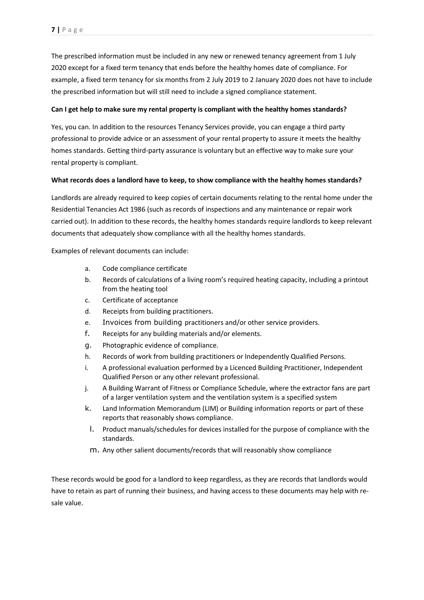The prescribed information must be included in any new or renewed tenancy agreement from 1 July 2020 except for a fixed term tenancy that ends before the healthy homes date of compliance. For example, a fixed term tenancy for six months from 2 July 2019 to 2 January 2020 does not have to include the prescribed information but will still need to include a signed compliance statement.

#### **Can I get help to make sure my rental property is compliant with the healthy homes standards?**

Yes, you can. In addition to the resources Tenancy Services provide, you can engage a third party professional to provide advice or an assessment of your rental property to assure it meets the healthy homes standards. Getting third-party assurance is voluntary but an effective way to make sure your rental property is compliant.

#### **What records does a landlord have to keep, to show compliance with the healthy homes standards?**

Landlords are already required to keep copies of certain documents relating to the rental home under the Residential Tenancies Act 1986 (such as records of inspections and any maintenance or repair work carried out). In addition to these records, the healthy homes standards require landlords to keep relevant documents that adequately show compliance with all the healthy homes standards.

Examples of relevant documents can include:

- a. Code compliance certificate
- b. Records of calculations of a living room's required heating capacity, including a printout from the heating tool
- c. Certificate of acceptance
- d. Receipts from building practitioners.
- e. Invoices from building practitioners and/or other service providers.
- f. Receipts for any building materials and/or elements.
- g. Photographic evidence of compliance.
- h. Records of work from building practitioners or Independently Qualified Persons.
- i. A professional evaluation performed by a Licenced Building Practitioner, Independent Qualified Person or any other relevant professional.
- j. A Building Warrant of Fitness or Compliance Schedule, where the extractor fans are part of a larger ventilation system and the ventilation system is a specified system
- k. Land Information Memorandum (LIM) or Building information reports or part of these reports that reasonably shows compliance.
- l. Product manuals/schedules for devices installed for the purpose of compliance with the standards.
- m. Any other salient documents/records that will reasonably show compliance

These records would be good for a landlord to keep regardless, as they are records that landlords would have to retain as part of running their business, and having access to these documents may help with resale value.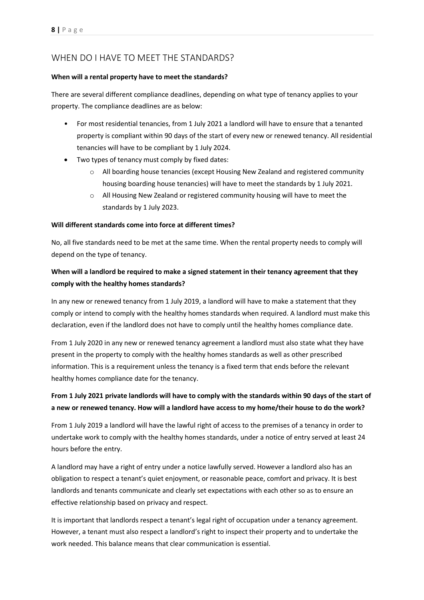# <span id="page-10-0"></span>WHEN DO I HAVE TO MEET THE STANDARDS?

#### **When will a rental property have to meet the standards?**

There are several different compliance deadlines, depending on what type of tenancy applies to your property. The compliance deadlines are as below:

- For most residential tenancies, from 1 July 2021 a landlord will have to ensure that a tenanted property is compliant within 90 days of the start of every new or renewed tenancy. All residential tenancies will have to be compliant by 1 July 2024.
- Two types of tenancy must comply by fixed dates:
	- $\circ$  All boarding house tenancies (except Housing New Zealand and registered community housing boarding house tenancies) will have to meet the standards by 1 July 2021.
	- $\circ$  All Housing New Zealand or registered community housing will have to meet the standards by 1 July 2023.

#### **Will different standards come into force at different times?**

No, all five standards need to be met at the same time. When the rental property needs to comply will depend on the type of tenancy.

# **When will a landlord be required to make a signed statement in their tenancy agreement that they comply with the healthy homes standards?**

In any new or renewed tenancy from 1 July 2019, a landlord will have to make a statement that they comply or intend to comply with the healthy homes standards when required. A landlord must make this declaration, even if the landlord does not have to comply until the healthy homes compliance date.

From 1 July 2020 in any new or renewed tenancy agreement a landlord must also state what they have present in the property to comply with the healthy homes standards as well as other prescribed information. This is a requirement unless the tenancy is a fixed term that ends before the relevant healthy homes compliance date for the tenancy.

# **From 1 July 2021 private landlords will have to comply with the standards within 90 days of the start of a new or renewed tenancy. How will a landlord have access to my home/their house to do the work?**

From 1 July 2019 a landlord will have the lawful right of access to the premises of a tenancy in order to undertake work to comply with the healthy homes standards, under a notice of entry served at least 24 hours before the entry.

A landlord may have a right of entry under a notice lawfully served. However a landlord also has an obligation to respect a tenant's quiet enjoyment, or reasonable peace, comfort and privacy. It is best landlords and tenants communicate and clearly set expectations with each other so as to ensure an effective relationship based on privacy and respect.

It is important that landlords respect a tenant's legal right of occupation under a tenancy agreement. However, a tenant must also respect a landlord's right to inspect their property and to undertake the work needed. This balance means that clear communication is essential.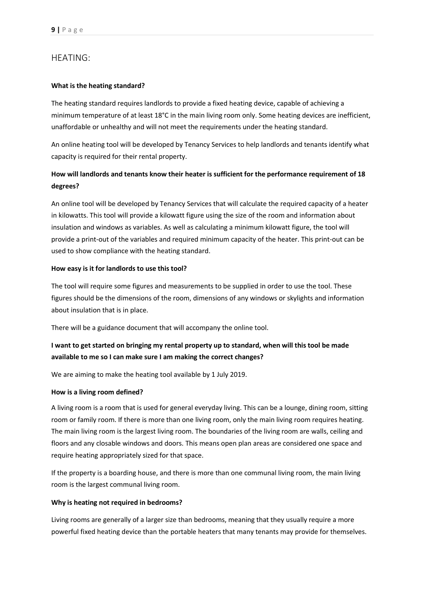# <span id="page-11-0"></span>HEATING:

#### **What is the heating standard?**

The heating standard requires landlords to provide a fixed heating device, capable of achieving a minimum temperature of at least 18°C in the main living room only. Some heating devices are inefficient, unaffordable or unhealthy and will not meet the requirements under the heating standard.

An online heating tool will be developed by Tenancy Services to help landlords and tenants identify what capacity is required for their rental property.

# **How will landlords and tenants know their heater is sufficient for the performance requirement of 18 degrees?**

An online tool will be developed by Tenancy Services that will calculate the required capacity of a heater in kilowatts. This tool will provide a kilowatt figure using the size of the room and information about insulation and windows as variables. As well as calculating a minimum kilowatt figure, the tool will provide a print-out of the variables and required minimum capacity of the heater. This print-out can be used to show compliance with the heating standard.

#### **How easy is it for landlords to use this tool?**

The tool will require some figures and measurements to be supplied in order to use the tool. These figures should be the dimensions of the room, dimensions of any windows or skylights and information about insulation that is in place.

There will be a guidance document that will accompany the online tool.

# **I want to get started on bringing my rental property up to standard, when will this tool be made available to me so I can make sure I am making the correct changes?**

We are aiming to make the heating tool available by 1 July 2019.

#### **How is a living room defined?**

A living room is a room that is used for general everyday living. This can be a lounge, dining room, sitting room or family room. If there is more than one living room, only the main living room requires heating. The main living room is the largest living room. The boundaries of the living room are walls, ceiling and floors and any closable windows and doors. This means open plan areas are considered one space and require heating appropriately sized for that space.

If the property is a boarding house, and there is more than one communal living room, the main living room is the largest communal living room.

#### **Why is heating not required in bedrooms?**

Living rooms are generally of a larger size than bedrooms, meaning that they usually require a more powerful fixed heating device than the portable heaters that many tenants may provide for themselves.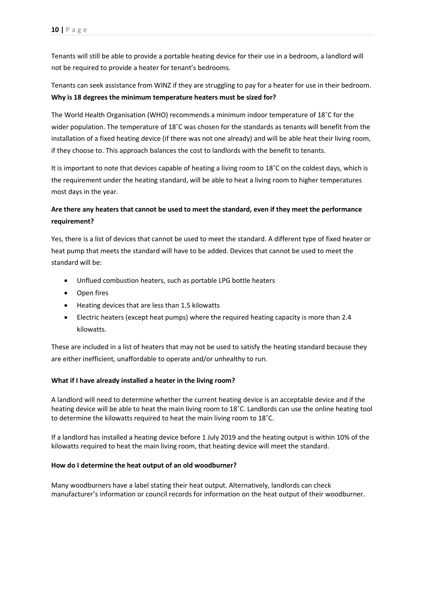Tenants will still be able to provide a portable heating device for their use in a bedroom, a landlord will not be required to provide a heater for tenant's bedrooms.

Tenants can seek assistance from WINZ if they are struggling to pay for a heater for use in their bedroom. **Why is 18 degrees the minimum temperature heaters must be sized for?** 

The World Health Organisation (WHO) recommends a minimum indoor temperature of 18˚C for the wider population. The temperature of 18˚C was chosen for the standards as tenants will benefit from the installation of a fixed heating device (if there was not one already) and will be able heat their living room, if they choose to. This approach balances the cost to landlords with the benefit to tenants.

It is important to note that devices capable of heating a living room to 18˚C on the coldest days, which is the requirement under the heating standard, will be able to heat a living room to higher temperatures most days in the year.

# **Are there any heaters that cannot be used to meet the standard, even if they meet the performance requirement?**

Yes, there is a list of devices that cannot be used to meet the standard. A different type of fixed heater or heat pump that meets the standard will have to be added. Devices that cannot be used to meet the standard will be:

- Unflued combustion heaters, such as portable LPG bottle heaters
- Open fires
- Heating devices that are less than 1.5 kilowatts
- Electric heaters (except heat pumps) where the required heating capacity is more than 2.4 kilowatts.

These are included in a list of heaters that may not be used to satisfy the heating standard because they are either inefficient, unaffordable to operate and/or unhealthy to run.

#### **What if I have already installed a heater in the living room?**

A landlord will need to determine whether the current heating device is an acceptable device and if the heating device will be able to heat the main living room to 18˚C. Landlords can use the online heating tool to determine the kilowatts required to heat the main living room to 18˚C.

If a landlord has installed a heating device before 1 July 2019 and the heating output is within 10% of the kilowatts required to heat the main living room, that heating device will meet the standard.

#### **How do I determine the heat output of an old woodburner?**

Many woodburners have a label stating their heat output. Alternatively, landlords can check manufacturer's information or council records for information on the heat output of their woodburner.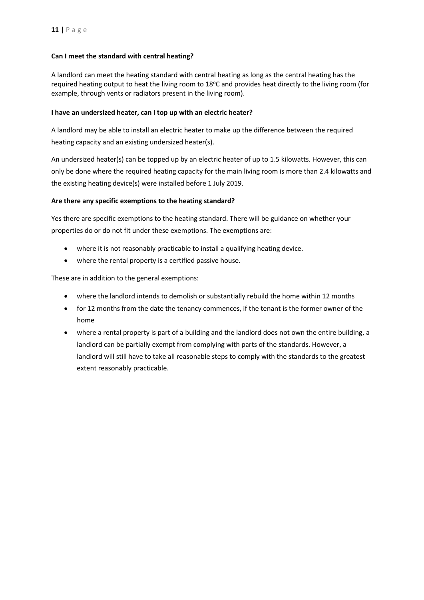#### **Can I meet the standard with central heating?**

A landlord can meet the heating standard with central heating as long as the central heating has the required heating output to heat the living room to 18<sup>o</sup>C and provides heat directly to the living room (for example, through vents or radiators present in the living room).

#### **I have an undersized heater, can I top up with an electric heater?**

A landlord may be able to install an electric heater to make up the difference between the required heating capacity and an existing undersized heater(s).

An undersized heater(s) can be topped up by an electric heater of up to 1.5 kilowatts. However, this can only be done where the required heating capacity for the main living room is more than 2.4 kilowatts and the existing heating device(s) were installed before 1 July 2019.

#### **Are there any specific exemptions to the heating standard?**

Yes there are specific exemptions to the heating standard. There will be guidance on whether your properties do or do not fit under these exemptions. The exemptions are:

- where it is not reasonably practicable to install a qualifying heating device.
- where the rental property is a certified passive house.

These are in addition to the general exemptions:

- where the landlord intends to demolish or substantially rebuild the home within 12 months
- for 12 months from the date the tenancy commences, if the tenant is the former owner of the home
- where a rental property is part of a building and the landlord does not own the entire building, a landlord can be partially exempt from complying with parts of the standards. However, a landlord will still have to take all reasonable steps to comply with the standards to the greatest extent reasonably practicable.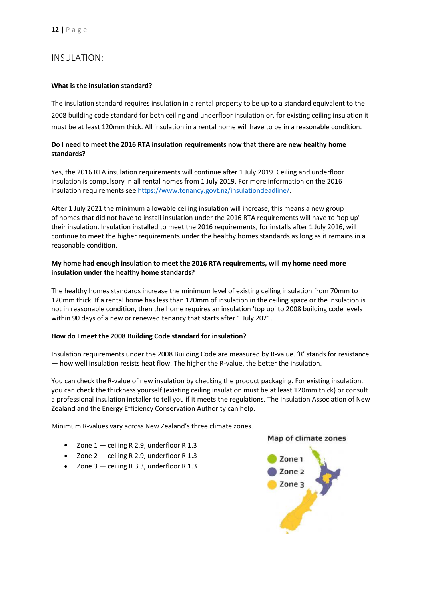# <span id="page-14-0"></span>INSULATION:

#### **What is the insulation standard?**

The insulation standard requires insulation in a rental property to be up to a standard equivalent to the 2008 building code standard for both ceiling and underfloor insulation or, for existing ceiling insulation it must be at least 120mm thick. All insulation in a rental home will have to be in a reasonable condition.

#### **Do I need to meet the 2016 RTA insulation requirements now that there are new healthy home standards?**

Yes, the 2016 RTA insulation requirements will continue after 1 July 2019. Ceiling and underfloor insulation is compulsory in all rental homes from 1 July 2019. For more information on the 2016 insulation requirements see [https://www.tenancy.govt.nz/insulationdeadline/.](https://apac01.safelinks.protection.outlook.com/?url=https%3A%2F%2Fwww.tenancy.govt.nz%2Finsulationdeadline%2F&data=02%7C01%7C%7C974151f74d074e76e58808d6864955ce%7C9e9b30203d3848a69064373bc7b156dc%7C1%7C0%7C636844046856134655&sdata=lAuw16EDoSgMdVqhNzDws9tdukruKM78L2XS2A%2FQeRg%3D&reserved=0)

After 1 July 2021 the minimum allowable ceiling insulation will increase, this means a new group of homes that did not have to install insulation under the 2016 RTA requirements will have to 'top up' their insulation. Insulation installed to meet the 2016 requirements, for installs after 1 July 2016, will continue to meet the higher requirements under the healthy homes standards as long as it remains in a reasonable condition.

#### **My home had enough insulation to meet the 2016 RTA requirements, will my home need more insulation under the healthy home standards?**

The healthy homes standards increase the minimum level of existing ceiling insulation from 70mm to 120mm thick. If a rental home has less than 120mm of insulation in the ceiling space or the insulation is not in reasonable condition, then the home requires an insulation 'top up' to 2008 building code levels within 90 days of a new or renewed tenancy that starts after 1 July 2021.

#### **How do I meet the 2008 Building Code standard for insulation?**

Insulation requirements under the 2008 Building Code are measured by R-value. 'R' stands for resistance — how well insulation resists heat flow. The higher the R-value, the better the insulation.

You can check the R-value of new insulation by checking the product packaging. For existing insulation, you can check the thickness yourself (existing ceiling insulation must be at least 120mm thick) or consult a professional insulation installer to tell you if it meets the regulations. The Insulation Association of New Zealand and the Energy Efficiency Conservation Authority can help.

Minimum R-values vary across New Zealand's three climate zones.

- Zone  $1$  ceiling R 2.9, underfloor R 1.3
- Zone 2 ceiling R 2.9, underfloor R 1.3
- Zone  $3$  ceiling R 3.3, underfloor R 1.3

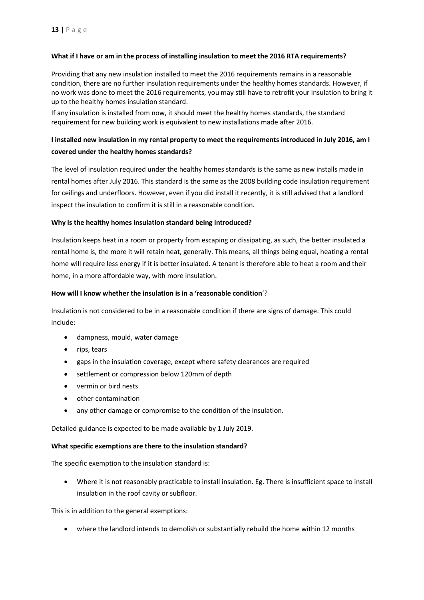#### **What if I have or am in the process of installing insulation to meet the 2016 RTA requirements?**

Providing that any new insulation installed to meet the 2016 requirements remains in a reasonable condition, there are no further insulation requirements under the healthy homes standards. However, if no work was done to meet the 2016 requirements, you may still have to retrofit your insulation to bring it up to the healthy homes insulation standard.

If any insulation is installed from now, it should meet the healthy homes standards, the standard requirement for new building work is equivalent to new installations made after 2016.

## **I installed new insulation in my rental property to meet the requirements introduced in July 2016, am I covered under the healthy homes standards?**

The level of insulation required under the healthy homes standards is the same as new installs made in rental homes after July 2016. This standard is the same as the 2008 building code insulation requirement for ceilings and underfloors. However, even if you did install it recently, it is still advised that a landlord inspect the insulation to confirm it is still in a reasonable condition.

#### **Why is the healthy homes insulation standard being introduced?**

Insulation keeps heat in a room or property from escaping or dissipating, as such, the better insulated a rental home is, the more it will retain heat, generally. This means, all things being equal, heating a rental home will require less energy if it is better insulated. A tenant is therefore able to heat a room and their home, in a more affordable way, with more insulation.

#### **How will I know whether the insulation is in a 'reasonable condition**'?

Insulation is not considered to be in a reasonable condition if there are signs of damage. This could include:

- dampness, mould, water damage
- rips, tears
- gaps in the insulation coverage, except where safety clearances are required
- settlement or compression below 120mm of depth
- vermin or bird nests
- other contamination
- any other damage or compromise to the condition of the insulation.

Detailed guidance is expected to be made available by 1 July 2019.

#### **What specific exemptions are there to the insulation standard?**

The specific exemption to the insulation standard is:

• Where it is not reasonably practicable to install insulation. Eg. There is insufficient space to install insulation in the roof cavity or subfloor.

This is in addition to the general exemptions:

• where the landlord intends to demolish or substantially rebuild the home within 12 months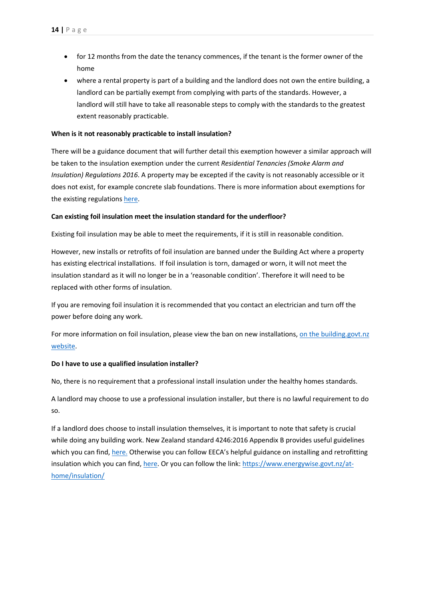- for 12 months from the date the tenancy commences, if the tenant is the former owner of the home
- where a rental property is part of a building and the landlord does not own the entire building, a landlord can be partially exempt from complying with parts of the standards. However, a landlord will still have to take all reasonable steps to comply with the standards to the greatest extent reasonably practicable.

#### **When is it not reasonably practicable to install insulation?**

There will be a guidance document that will further detail this exemption however a similar approach will be taken to the insulation exemption under the current *Residential Tenancies (Smoke Alarm and Insulation) Regulations 2016*. A property may be excepted if the cavity is not reasonably accessible or it does not exist, for example concrete slab foundations. There is more information about exemptions for the existing regulations [here.](https://www.tenancy.govt.nz/about-tenancy-services/news-and-events/exceptions-for-installing-insulation-in-rental-properties/)

#### **Can existing foil insulation meet the insulation standard for the underfloor?**

Existing foil insulation may be able to meet the requirements, if it is still in reasonable condition.

However, new installs or retrofits of foil insulation are banned under the Building Act where a property has existing electrical installations. If foil insulation is torn, damaged or worn, it will not meet the insulation standard as it will no longer be in a 'reasonable condition'. Therefore it will need to be replaced with other forms of insulation.

If you are removing foil insulation it is recommended that you contact an electrician and turn off the power before doing any work.

For more information on foil insulation, please view the ban on new installations, on the building.govt.nz [website.](https://www.building.govt.nz/assets/Uploads/building-code-compliance/warnings-bans/201601-Foil-insulation-ban.pdf)

#### **Do I have to use a qualified insulation installer?**

No, there is no requirement that a professional install insulation under the healthy homes standards.

A landlord may choose to use a professional insulation installer, but there is no lawful requirement to do so.

If a landlord does choose to install insulation themselves, it is important to note that safety is crucial while doing any building work. New Zealand standard 4246:2016 Appendix B provides useful guidelines which you can find, [here.](https://www.tenancy.govt.nz/assets/Uploads/Tenancy/NZS-42462016-Energy-efficiency-Installing-bulk-thermal-insulation-in-residential-buildings.pdf) Otherwise you can follow EECA's helpful guidance on installing and retrofitting insulation which you can find, [here.](https://www.energywise.govt.nz/at-home/insulation/) Or you can follow the link[: https://www.energywise.govt.nz/at](https://www.energywise.govt.nz/at-home/insulation/)[home/insulation/](https://www.energywise.govt.nz/at-home/insulation/)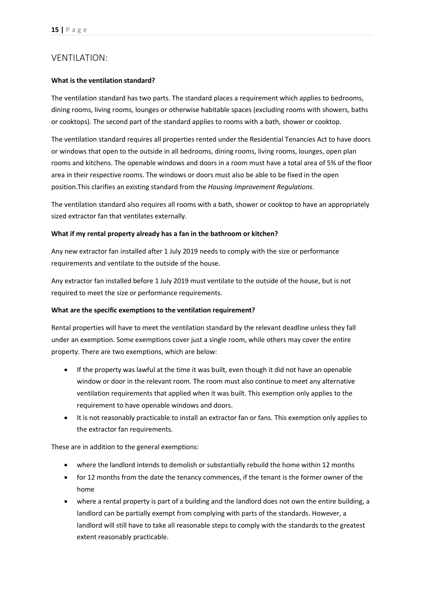## <span id="page-17-0"></span>VENTILATION:

#### **What is the ventilation standard?**

The ventilation standard has two parts. The standard places a requirement which applies to bedrooms, dining rooms, living rooms, lounges or otherwise habitable spaces (excluding rooms with showers, baths or cooktops). The second part of the standard applies to rooms with a bath, shower or cooktop.

The ventilation standard requires all properties rented under the Residential Tenancies Act to have doors or windows that open to the outside in all bedrooms, dining rooms, living rooms, lounges, open plan rooms and kitchens. The openable windows and doors in a room must have a total area of 5% of the floor area in their respective rooms. The windows or doors must also be able to be fixed in the open position.This clarifies an existing standard from the *Housing Improvement Regulations*.

The ventilation standard also requires all rooms with a bath, shower or cooktop to have an appropriately sized extractor fan that ventilates externally.

#### **What if my rental property already has a fan in the bathroom or kitchen?**

Any new extractor fan installed after 1 July 2019 needs to comply with the size or performance requirements and ventilate to the outside of the house.

Any extractor fan installed before 1 July 2019 must ventilate to the outside of the house, but is not required to meet the size or performance requirements.

#### **What are the specific exemptions to the ventilation requirement?**

Rental properties will have to meet the ventilation standard by the relevant deadline unless they fall under an exemption. Some exemptions cover just a single room, while others may cover the entire property. There are two exemptions, which are below:

- If the property was lawful at the time it was built, even though it did not have an openable window or door in the relevant room. The room must also continue to meet any alternative ventilation requirements that applied when it was built. This exemption only applies to the requirement to have openable windows and doors.
- It is not reasonably practicable to install an extractor fan or fans. This exemption only applies to the extractor fan requirements.

These are in addition to the general exemptions:

- where the landlord intends to demolish or substantially rebuild the home within 12 months
- for 12 months from the date the tenancy commences, if the tenant is the former owner of the home
- where a rental property is part of a building and the landlord does not own the entire building, a landlord can be partially exempt from complying with parts of the standards. However, a landlord will still have to take all reasonable steps to comply with the standards to the greatest extent reasonably practicable.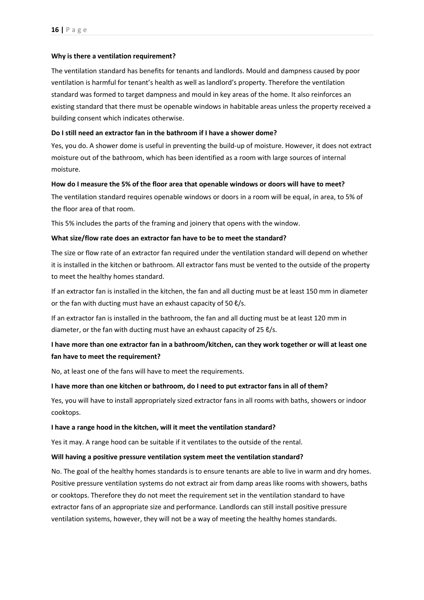#### **Why is there a ventilation requirement?**

The ventilation standard has benefits for tenants and landlords. Mould and dampness caused by poor ventilation is harmful for tenant's health as well as landlord's property. Therefore the ventilation standard was formed to target dampness and mould in key areas of the home. It also reinforces an existing standard that there must be openable windows in habitable areas unless the property received a building consent which indicates otherwise.

#### **Do I still need an extractor fan in the bathroom if I have a shower dome?**

Yes, you do. A shower dome is useful in preventing the build-up of moisture. However, it does not extract moisture out of the bathroom, which has been identified as a room with large sources of internal moisture.

#### **How do I measure the 5% of the floor area that openable windows or doors will have to meet?**

The ventilation standard requires openable windows or doors in a room will be equal, in area, to 5% of the floor area of that room.

This 5% includes the parts of the framing and joinery that opens with the window.

#### **What size/flow rate does an extractor fan have to be to meet the standard?**

The size or flow rate of an extractor fan required under the ventilation standard will depend on whether it is installed in the kitchen or bathroom. All extractor fans must be vented to the outside of the property to meet the healthy homes standard.

If an extractor fan is installed in the kitchen, the fan and all ducting must be at least 150 mm in diameter or the fan with ducting must have an exhaust capacity of 50  $\ell$ /s.

If an extractor fan is installed in the bathroom, the fan and all ducting must be at least 120 mm in diameter, or the fan with ducting must have an exhaust capacity of 25  $\ell$ /s.

# **I have more than one extractor fan in a bathroom/kitchen, can they work together or will at least one fan have to meet the requirement?**

No, at least one of the fans will have to meet the requirements.

#### **I have more than one kitchen or bathroom, do I need to put extractor fans in all of them?**

Yes, you will have to install appropriately sized extractor fans in all rooms with baths, showers or indoor cooktops.

#### **I have a range hood in the kitchen, will it meet the ventilation standard?**

Yes it may. A range hood can be suitable if it ventilates to the outside of the rental.

#### **Will having a positive pressure ventilation system meet the ventilation standard?**

No. The goal of the healthy homes standards is to ensure tenants are able to live in warm and dry homes. Positive pressure ventilation systems do not extract air from damp areas like rooms with showers, baths or cooktops. Therefore they do not meet the requirement set in the ventilation standard to have extractor fans of an appropriate size and performance. Landlords can still install positive pressure ventilation systems, however, they will not be a way of meeting the healthy homes standards.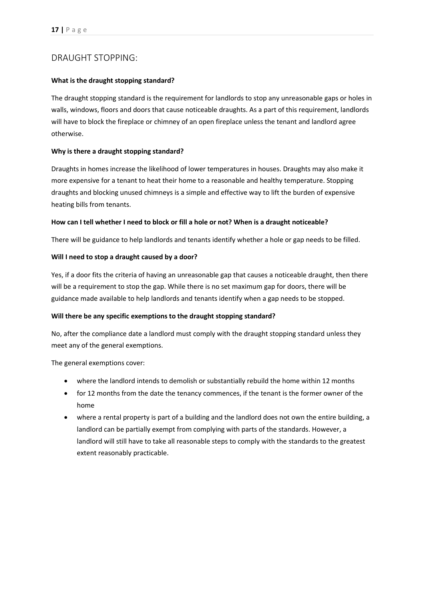# <span id="page-19-0"></span>DRAUGHT STOPPING:

#### **What is the draught stopping standard?**

The draught stopping standard is the requirement for landlords to stop any unreasonable gaps or holes in walls, windows, floors and doors that cause noticeable draughts. As a part of this requirement, landlords will have to block the fireplace or chimney of an open fireplace unless the tenant and landlord agree otherwise.

#### **Why is there a draught stopping standard?**

Draughts in homes increase the likelihood of lower temperatures in houses. Draughts may also make it more expensive for a tenant to heat their home to a reasonable and healthy temperature. Stopping draughts and blocking unused chimneys is a simple and effective way to lift the burden of expensive heating bills from tenants.

#### **How can I tell whether I need to block or fill a hole or not? When is a draught noticeable?**

There will be guidance to help landlords and tenants identify whether a hole or gap needs to be filled.

#### **Will I need to stop a draught caused by a door?**

Yes, if a door fits the criteria of having an unreasonable gap that causes a noticeable draught, then there will be a requirement to stop the gap. While there is no set maximum gap for doors, there will be guidance made available to help landlords and tenants identify when a gap needs to be stopped.

#### **Will there be any specific exemptions to the draught stopping standard?**

No, after the compliance date a landlord must comply with the draught stopping standard unless they meet any of the general exemptions.

The general exemptions cover:

- where the landlord intends to demolish or substantially rebuild the home within 12 months
- for 12 months from the date the tenancy commences, if the tenant is the former owner of the home
- where a rental property is part of a building and the landlord does not own the entire building, a landlord can be partially exempt from complying with parts of the standards. However, a landlord will still have to take all reasonable steps to comply with the standards to the greatest extent reasonably practicable.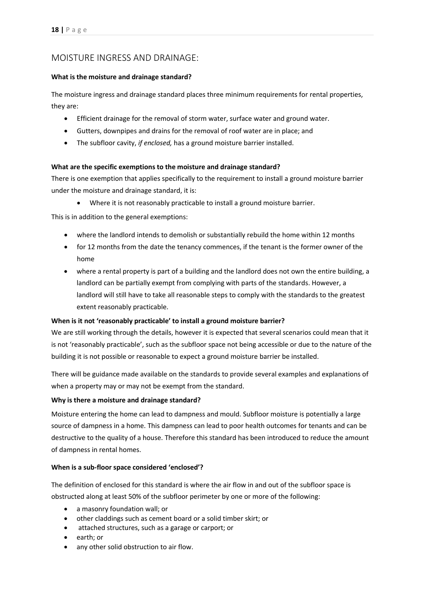# <span id="page-20-0"></span>MOISTURE INGRESS AND DRAINAGE:

#### **What is the moisture and drainage standard?**

The moisture ingress and drainage standard places three minimum requirements for rental properties, they are:

- Efficient drainage for the removal of storm water, surface water and ground water.
- Gutters, downpipes and drains for the removal of roof water are in place; and
- The subfloor cavity, *if enclosed,* has a ground moisture barrier installed.

#### **What are the specific exemptions to the moisture and drainage standard?**

There is one exemption that applies specifically to the requirement to install a ground moisture barrier under the moisture and drainage standard, it is:

Where it is not reasonably practicable to install a ground moisture barrier.

This is in addition to the general exemptions:

- where the landlord intends to demolish or substantially rebuild the home within 12 months
- for 12 months from the date the tenancy commences, if the tenant is the former owner of the home
- where a rental property is part of a building and the landlord does not own the entire building, a landlord can be partially exempt from complying with parts of the standards. However, a landlord will still have to take all reasonable steps to comply with the standards to the greatest extent reasonably practicable.

#### **When is it not 'reasonably practicable' to install a ground moisture barrier?**

We are still working through the details, however it is expected that several scenarios could mean that it is not 'reasonably practicable', such as the subfloor space not being accessible or due to the nature of the building it is not possible or reasonable to expect a ground moisture barrier be installed.

There will be guidance made available on the standards to provide several examples and explanations of when a property may or may not be exempt from the standard.

#### **Why is there a moisture and drainage standard?**

Moisture entering the home can lead to dampness and mould. Subfloor moisture is potentially a large source of dampness in a home. This dampness can lead to poor health outcomes for tenants and can be destructive to the quality of a house. Therefore this standard has been introduced to reduce the amount of dampness in rental homes.

#### **When is a sub-floor space considered 'enclosed'?**

The definition of enclosed for this standard is where the air flow in and out of the subfloor space is obstructed along at least 50% of the subfloor perimeter by one or more of the following:

- a masonry foundation wall; or
- other claddings such as cement board or a solid timber skirt; or
- attached structures, such as a garage or carport; or
- earth; or
- any other solid obstruction to air flow.